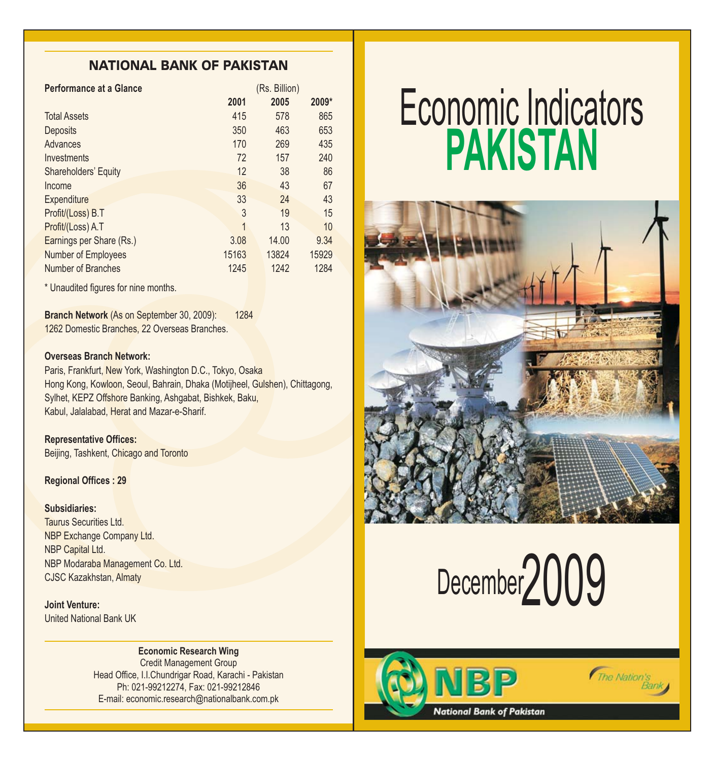# **NATIONAL BANK OF PAKISTAN**

| Performance at a Glance  |       | (Rs. Billion) |         |
|--------------------------|-------|---------------|---------|
|                          | 2001  | 2005          | $2009*$ |
| <b>Total Assets</b>      | 415   | 578           | 865     |
| <b>Deposits</b>          | 350   | 463           | 653     |
| Advances                 | 170   | 269           | 435     |
| Investments              | 72    | 157           | 240     |
| Shareholders' Equity     | 12    | 38            | 86      |
| Income                   | 36    | 43            | 67      |
| Expenditure              | 33    | 24            | 43      |
| Profit/(Loss) B.T        | 3     | 19            | 15      |
| Profit/(Loss) A.T        | 1     | 13            | 10      |
| Earnings per Share (Rs.) | 3.08  | 14.00         | 9.34    |
| Number of Employees      | 15163 | 13824         | 15929   |
| Number of Branches       | 1245  | 1242          | 1284    |

\* Unaudited figures for nine months.

Branch Network (As on September 30, 2009): 1284 1262 Domestic Branches, 22 Overseas Branches.

## Overseas Branch Network:

Paris, Frankfurt, New York, Washington D.C., Tokyo, Osaka Hong Kong, Kowloon, Seoul, Bahrain, Dhaka (Motijheel, Gulshen), Chittagong, Sylhet, KEPZ Offshore Banking, Ashgabat, Bishkek, Baku, Kabul, Jalalabad, Herat and Mazar-e-Sharif.

#### **Representative Offices:**

Beijing, Tashkent, Chicago and Toronto

### **Regional Offices: 29**

#### Subsidiaries:

Taurus Securities Ltd. NBP Exchange Company Ltd. NBP Capital Ltd. NBP Modaraba Management Co. Ltd. **CJSC Kazakhstan, Almaty** 

**Joint Venture: United National Bank UK** 

### **Economic Research Wing**

**Credit Management Group** Head Office, I.I.Chundrigar Road, Karachi - Pakistan Ph: 021-99212274. Fax: 021-99212846 E-mail: economic.research@nationalbank.com.pk

# **Economic Indicators PAKISTAN**



December<sub>2009</sub>



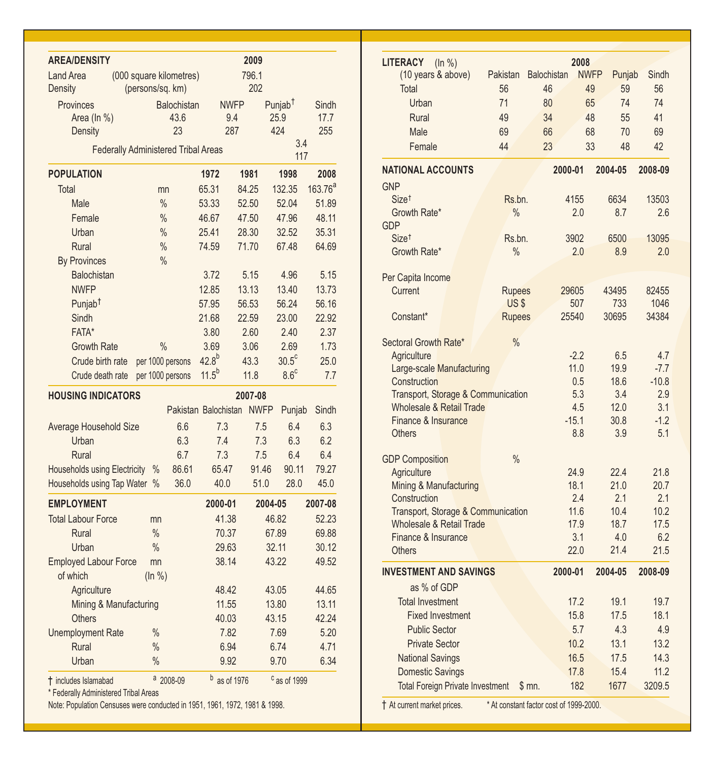| <b>AREA/DENSITY</b>                                           |                                            |                         |                    |       |            |                      | 2009        |                         |                     |
|---------------------------------------------------------------|--------------------------------------------|-------------------------|--------------------|-------|------------|----------------------|-------------|-------------------------|---------------------|
| <b>Land Area</b>                                              |                                            | (000 square kilometres) |                    |       |            |                      | 796.1       |                         |                     |
| Density                                                       |                                            | (persons/sq. km)        |                    |       |            |                      | 202         |                         |                     |
| <b>Provinces</b>                                              |                                            |                         | <b>Balochistan</b> |       |            | <b>NWFP</b>          |             | $P$ uniab <sup>T</sup>  | Sindh               |
| Area (In %)                                                   |                                            |                         |                    | 43.6  |            | 9.4                  |             | 25.9                    | 17.7                |
| Density                                                       |                                            |                         |                    | 23    |            | 287                  |             | 424                     | 255                 |
|                                                               | <b>Federally Administered Tribal Areas</b> |                         |                    |       |            |                      |             | 3.4<br>117              |                     |
| <b>POPULATION</b>                                             |                                            |                         |                    |       | 1972       |                      | 1981        | 1998                    | 2008                |
| Total                                                         |                                            |                         | mn                 |       | 65.31      |                      | 84.25       | 132.35                  | 163.76 <sup>a</sup> |
| Male                                                          |                                            |                         | $\%$               |       | 53.33      |                      | 52.50       | 52.04                   | 51.89               |
| Female                                                        |                                            |                         | $\frac{0}{0}$      |       | 46.67      |                      | 47.50       | 47.96                   | 48.11               |
| Urban                                                         |                                            |                         | $\%$               |       | 25.41      |                      | 28.30       | 32.52                   | 35.31               |
| Rural                                                         |                                            |                         | $\frac{0}{0}$      |       | 74.59      |                      | 71.70       | 67.48                   | 64.69               |
| <b>By Provinces</b>                                           |                                            |                         | $\frac{0}{0}$      |       |            |                      |             |                         |                     |
| <b>Balochistan</b>                                            |                                            |                         |                    |       | 3.72       |                      | 5.15        | 4.96                    | 5.15                |
| <b>NWFP</b>                                                   |                                            |                         |                    |       | 12.85      |                      | 13.13       | 13.40                   | 13.73               |
| Punjab <sup>t</sup>                                           |                                            |                         |                    |       | 57.95      |                      | 56.53       | 56.24                   | 56.16               |
| Sindh                                                         |                                            |                         |                    |       | 21.68      |                      | 22.59       | 23.00                   | 22.92               |
| FATA*                                                         |                                            |                         |                    |       | 3.80       |                      | 2.60        | 2.40                    | 2.37                |
| <b>Growth Rate</b>                                            |                                            |                         | $\frac{0}{0}$      |       | 3.69       |                      | 3.06        | 2.69                    | 1.73                |
| Crude birth rate                                              |                                            |                         | per 1000 persons   |       | $42.8^{b}$ |                      | 43.3        | $30.5^{\circ}$          | 25.0                |
| Crude death rate                                              |                                            |                         | per 1000 persons   |       | $11.5^{b}$ |                      | 11.8        | $8.6^{\circ}$           | 7.7                 |
| <b>HOUSING INDICATORS</b>                                     |                                            |                         |                    |       |            |                      | 2007-08     |                         |                     |
|                                                               |                                            |                         |                    |       |            | Pakistan Balochistan | <b>NWFP</b> | Punjab                  | Sindh               |
| Average Household Size                                        |                                            |                         |                    | 6.6   |            | 7.3                  | 7.5         | 6.4                     | 6.3                 |
| Urban                                                         |                                            |                         |                    | 6.3   |            | 7.4                  | 7.3         | 6.3                     | 6.2                 |
| Rural                                                         |                                            |                         |                    | 6.7   |            | 7.3                  | 7.5         | 6.4                     | 6.4                 |
| <b>Households using Electricity</b>                           |                                            | $\%$                    |                    | 86.61 |            | 65.47                | 91.46       | 90.11                   | 79.27               |
| Households using Tap Water %                                  |                                            |                         |                    | 36.0  |            | 40.0                 | 51.0        | 28.0                    | 45.0                |
| <b>EMPLOYMENT</b>                                             |                                            |                         |                    |       |            | 2000-01              |             | 2004-05                 | 2007-08             |
| <b>Total Labour Force</b>                                     |                                            | mn                      |                    |       |            | 41.38                |             | 46.82                   | 52.23               |
| Rural                                                         |                                            | $\frac{0}{0}$           |                    |       |            | 70.37                |             | 67.89                   | 69.88               |
| Urban                                                         |                                            | $\frac{0}{0}$           |                    |       |            | 29.63                |             | 32.11                   | 30.12               |
| <b>Employed Labour Force</b>                                  |                                            | mn                      |                    |       |            | 38.14                |             | 43.22                   | 49.52               |
| of which                                                      |                                            | (ln % )                 |                    |       |            |                      |             |                         |                     |
| Agriculture                                                   |                                            |                         |                    |       |            | 48.42                |             | 43.05                   | 44.65               |
|                                                               | Mining & Manufacturing                     |                         |                    |       |            | 11.55                |             | 13.80                   | 13.11               |
| <b>Others</b>                                                 |                                            |                         |                    |       |            | 40.03                |             | 43.15                   | 42.24               |
| <b>Unemployment Rate</b>                                      |                                            | $\%$                    |                    |       |            | 7.82                 |             | 7.69                    | 5.20                |
| Rural                                                         |                                            | $\frac{0}{0}$           |                    |       |            | 6.94                 |             | 6.74                    | 4.71                |
| Urban                                                         |                                            | $\frac{0}{0}$           |                    |       |            | 9.92                 |             | 9.70                    | 6.34                |
| t includes Islamabad<br>* Federally Administered Tribal Areas |                                            |                         | $a$ 2008-09        |       |            | $b$ as of 1976       |             | <sup>c</sup> as of 1999 |                     |

| <b>LITERACY</b><br>(ln %)               |               | 2008                                    |                       |             |
|-----------------------------------------|---------------|-----------------------------------------|-----------------------|-------------|
| (10 years & above)                      | Pakistan      | Balochistan                             | <b>NWFP</b><br>Punjab | Sindh       |
| Total                                   | 56            | 46                                      | 49<br>59              | 56          |
| Urban                                   | 71            | 80                                      | 74<br>65              | 74          |
| Rural                                   | 49            | 34                                      | 48<br>55              | 41          |
| Male                                    | 69            | 66                                      | 68<br>70              | 69          |
| Female                                  | 44            | 23                                      | 33<br>48              | 42          |
| <b>NATIONAL ACCOUNTS</b>                |               | 2000-01                                 | 2004-05               | 2008-09     |
| GNP                                     |               |                                         |                       |             |
| Size <sup>†</sup>                       | Rs.bn.        | 4155                                    | 6634                  | 13503       |
| Growth Rate*                            | $\frac{0}{0}$ | 2.0                                     | 8.7                   | 2.6         |
| <b>GDP</b>                              |               |                                         |                       |             |
| Size <sup>t</sup>                       | Rs.bn.        | 3902                                    | 6500                  | 13095       |
| Growth Rate*                            | $\frac{0}{0}$ | 2.0                                     | 8.9                   | 2.0         |
| Per Capita Income                       |               |                                         |                       |             |
| Current                                 | <b>Rupees</b> | 29605                                   | 43495                 | 82455       |
|                                         | <b>US\$</b>   | 507                                     | 733                   | 1046        |
| Constant*                               | <b>Rupees</b> | 25540                                   | 30695                 | 34384       |
| Sectoral Growth Rate*                   | $\frac{0}{0}$ |                                         |                       |             |
| Agriculture                             |               | $-2.2$                                  | 6.5                   | 4.7         |
| Large-scale Manufacturing               |               | 11.0                                    | 19.9                  | $-7.7$      |
| Construction                            |               | 0.5                                     | 18.6                  | $-10.8$     |
| Transport, Storage & Communication      |               | 5.3                                     | 3.4                   | 2.9         |
| Wholesale & Retail Trade                |               | 4.5                                     | 12.0                  | 3.1         |
| Finance & Insurance                     |               | $-15.1$                                 | 30.8                  | $-1.2$      |
| <b>Others</b>                           |               | 8.8                                     | 3.9                   | 5.1         |
| <b>GDP Composition</b>                  | $\frac{0}{0}$ |                                         |                       |             |
| Agriculture                             |               | 24.9                                    | 22.4                  | 21.8        |
| Mining & Manufacturing                  |               | 18.1                                    | 21.0                  | 20.7        |
| Construction                            |               | 2.4                                     | 2.1                   | 2.1         |
| Transport, Storage & Communication      |               | 11.6                                    | 10.4                  | 10.2        |
| Wholesale & Retail Trade                |               | 17.9                                    | 18.7                  | 17.5        |
| Finance & Insurance<br><b>Others</b>    |               | 3.1<br>22.0                             | 4.0<br>21.4           | 6.2<br>21.5 |
| <b>INVESTMENT AND SAVINGS</b>           |               | 2000-01                                 | 2004-05               | 2008-09     |
| as % of GDP                             |               |                                         |                       |             |
| <b>Total Investment</b>                 |               | 17.2                                    | 19.1                  | 19.7        |
| <b>Fixed Investment</b>                 |               | 15.8                                    | 17.5                  | 18.1        |
| <b>Public Sector</b>                    |               | 5.7                                     | 4.3                   | 4.9         |
| <b>Private Sector</b>                   |               | 10.2                                    | 13.1                  | 13.2        |
|                                         |               |                                         | 17.5                  | 14.3        |
| <b>National Savings</b>                 |               | 16.5                                    |                       |             |
| <b>Domestic Savings</b>                 |               | 17.8                                    | 15.4                  | 11.2        |
| <b>Total Foreign Private Investment</b> |               | 182<br>\$m.                             | 1677                  | 3209.5      |
| † At current market prices.             |               | * At constant factor cost of 1999-2000. |                       |             |

Note: Population Censuses were conducted in 1951, 1961, 1972, 1981 & 1998.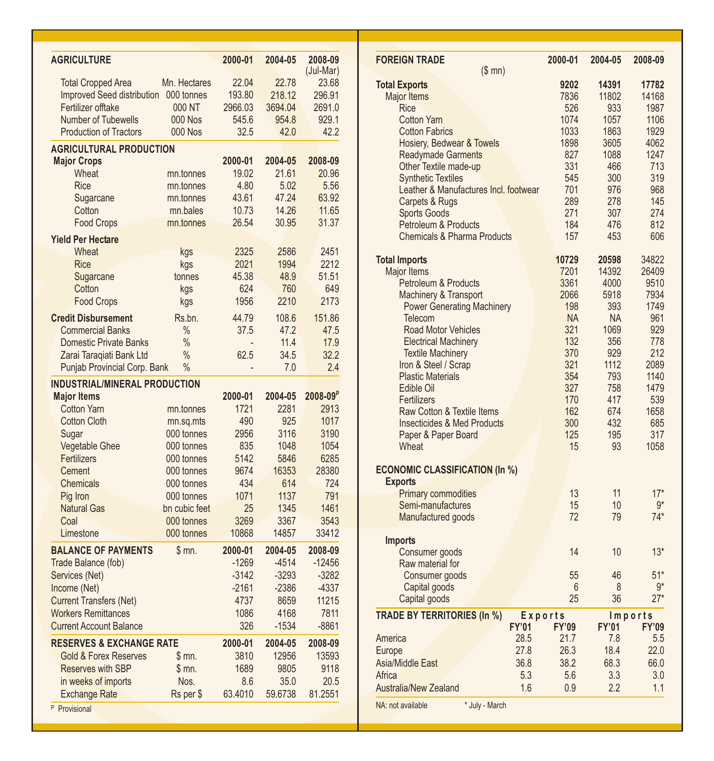| <b>AGRICULTURE</b>                    |                | 2000-01 | 2004-05 | 2008-09<br>(Jul-Mar) |
|---------------------------------------|----------------|---------|---------|----------------------|
| <b>Total Cropped Area</b>             | Mn. Hectares   | 22.04   | 22.78   | 23.68                |
| Improved Seed distribution 000 tonnes |                | 193.80  | 218.12  | 296.91               |
| Fertilizer offtake                    | 000 NT         | 2966.03 | 3694.04 | 2691.0               |
| Number of Tubewells                   | <b>000 Nos</b> | 545.6   | 954.8   | 929.1                |
| <b>Production of Tractors</b>         | <b>000 Nos</b> | 32.5    | 42.0    | 42.2                 |
|                                       |                |         |         |                      |
| <b>AGRICULTURAL PRODUCTION</b>        |                |         |         |                      |
| <b>Major Crops</b>                    |                | 2000-01 | 2004-05 | 2008-09              |
| Wheat                                 | mn.tonnes      | 19.02   | 21.61   | 20.96                |
| <b>Rice</b>                           | mn.tonnes      | 4.80    | 5.02    | 5.56                 |
| Sugarcane                             | mn.tonnes      | 43.61   | 47.24   | 63.92                |
| Cotton                                | mn.bales       | 10.73   | 14.26   | 11.65                |
| <b>Food Crops</b>                     | mn.tonnes      | 26.54   | 30.95   | 31.37                |
| <b>Yield Per Hectare</b>              |                |         |         |                      |
| Wheat                                 | kgs            | 2325    | 2586    | 2451                 |
| <b>Rice</b>                           | kgs            | 2021    | 1994    | 2212                 |
| Sugarcane                             | tonnes         | 45.38   | 48.9    | 51.51                |
| Cotton                                | kgs            | 624     | 760     | 649                  |
| <b>Food Crops</b>                     | kgs            | 1956    | 2210    | 2173                 |
| <b>Credit Disbursement</b>            | Rs.bn.         | 44.79   | 108.6   | 151.86               |
| <b>Commercial Banks</b>               | $\frac{0}{0}$  | 37.5    | 47.2    | 47.5                 |
| <b>Domestic Private Banks</b>         | $\frac{0}{0}$  |         | 11.4    | 17.9                 |
| Zarai Taragiati Bank Ltd              | $\frac{0}{0}$  | 62.5    | 34.5    | 32.2                 |
| <b>Punjab Provincial Corp. Bank</b>   | $\frac{0}{0}$  |         | 7.0     | 2.4                  |
|                                       |                |         |         |                      |
| <b>INDUSTRIAL/MINERAL PRODUCTION</b>  |                |         |         |                      |
| <b>Major Items</b>                    |                | 2000-01 | 2004-05 | $2008 - 09p$         |
| <b>Cotton Yarn</b>                    | mn.tonnes      | 1721    | 2281    | 2913                 |
| <b>Cotton Cloth</b>                   | mn.sq.mts      | 490     | 925     | 1017                 |
| Sugar                                 | 000 tonnes     | 2956    | 3116    | 3190                 |
| <b>Vegetable Ghee</b>                 | 000 tonnes     | 835     | 1048    | 1054                 |
| Fertilizers                           | 000 tonnes     | 5142    | 5846    | 6285                 |
| Cement                                | 000 tonnes     | 9674    | 16353   | 28380                |
| <b>Chemicals</b>                      | 000 tonnes     | 434     | 614     | 724                  |
| Pig Iron                              | 000 tonnes     | 1071    | 1137    | 791                  |
| <b>Natural Gas</b>                    | bn cubic feet  | 25      | 1345    | 1461                 |
| Coal                                  | 000 tonnes     | 3269    | 3367    | 3543                 |
| Limestone                             | 000 tonnes     | 10868   | 14857   | 33412                |
| <b>BALANCE OF PAYMENTS</b>            | \$m.           | 2000-01 | 2004-05 | 2008-09              |
| Trade Balance (fob)                   |                | $-1269$ | $-4514$ | $-12456$             |
| Services (Net)                        |                | $-3142$ | $-3293$ | $-3282$              |
| Income (Net)                          |                | $-2161$ | $-2386$ | $-4337$              |
| <b>Current Transfers (Net)</b>        |                | 4737    | 8659    | 11215                |
| <b>Workers Remittances</b>            |                | 1086    | 4168    | 7811                 |
| <b>Current Account Balance</b>        |                | 326     | $-1534$ | $-8861$              |
| <b>RESERVES &amp; EXCHANGE RATE</b>   |                | 2000-01 | 2004-05 | 2008-09              |
| <b>Gold &amp; Forex Reserves</b>      | \$m.           | 3810    | 12956   | 13593                |
| <b>Reserves with SBP</b>              | \$m.           | 1689    | 9805    | 9118                 |
| in weeks of imports                   | Nos.           | 8.6     | 35.0    | 20.5                 |
| <b>Exchange Rate</b>                  | Rs per \$      | 63.4010 | 59.6738 | 81.2551              |

| <b>FOREIGN TRADE</b>                                                 |              | 2000-01      | 2004-05      | 2008-09      |
|----------------------------------------------------------------------|--------------|--------------|--------------|--------------|
| (\$mn)                                                               |              |              |              |              |
| <b>Total Exports</b>                                                 |              | 9202         | 14391        | 17782        |
| <b>Major Items</b>                                                   |              | 7836         | 11802        | 14168        |
| <b>Rice</b>                                                          |              | 526          | 933          | 1987         |
| <b>Cotton Yarn</b>                                                   |              | 1074         | 1057         | 1106         |
| <b>Cotton Fabrics</b>                                                |              | 1033         | 1863         | 1929         |
| <b>Hosiery, Bedwear &amp; Towels</b>                                 |              | 1898         | 3605         | 4062         |
| Readymade Garments                                                   |              | 827          | 1088         | 1247         |
| Other Textile made-up                                                |              | 331          | 466          | 713          |
| <b>Synthetic Textiles</b>                                            |              | 545          | 300          | 319          |
| Leather & Manufactures Incl. footwear                                |              | 701          | 976          | 968          |
| Carpets & Rugs                                                       |              | 289          | 278          | 145          |
| <b>Sports Goods</b>                                                  |              | 271          | 307          | 274          |
| Petroleum & Products                                                 |              | 184          | 476          | 812          |
| <b>Chemicals &amp; Pharma Products</b>                               |              | 157          | 453          | 606          |
| <b>Total Imports</b>                                                 |              | 10729        | 20598        | 34822        |
| <b>Major Items</b>                                                   |              | 7201         | 14392        | 26409        |
| Petroleum & Products                                                 |              | 3361         | 4000         | 9510         |
| Machinery & Transport                                                |              | 2066         | 5918         | 7934         |
| <b>Power Generating Machinery</b>                                    |              | 198          | 393          | 1749         |
| Telecom                                                              |              | <b>NA</b>    | <b>NA</b>    | 961          |
| <b>Road Motor Vehicles</b>                                           |              | 321          | 1069         | 929          |
| <b>Electrical Machinery</b>                                          |              | 132          | 356          | 778          |
| <b>Textile Machinery</b>                                             |              | 370          | 929          | 212          |
| Iron & Steel / Scrap                                                 |              | 321          | 1112         | 2089         |
| <b>Plastic Materials</b>                                             |              | 354          | 793          | 1140         |
| Edible Oil                                                           |              | 327          | 758          | 1479         |
| Fertilizers                                                          |              | 170          | 417          | 539          |
| Raw Cotton & Textile Items<br><b>Insecticides &amp; Med Products</b> |              | 162<br>300   | 674<br>432   | 1658<br>685  |
|                                                                      |              | 125          | 195          | 317          |
| Paper & Paper Board<br>Wheat                                         |              | 15           | 93           | 1058         |
| <b>ECONOMIC CLASSIFICATION (In %)</b>                                |              |              |              |              |
| <b>Exports</b>                                                       |              |              |              |              |
| <b>Primary commodities</b>                                           |              | 13           | 11           | $17*$        |
| Semi-manufactures                                                    |              | 15           | 10           | $9*$         |
| Manufactured goods                                                   |              | 72           | 79           | $74*$        |
| <b>Imports</b>                                                       |              |              |              |              |
| Consumer goods                                                       |              | 14           | 10           | $13*$        |
| Raw material for                                                     |              |              |              |              |
| Consumer goods                                                       |              | 55           | 46           | $51*$        |
| Capital goods                                                        |              | 6            | 8            | $9*$         |
| Capital goods                                                        |              | 25           | 36           | $27*$        |
| <b>TRADE BY TERRITORIES (In %)</b>                                   |              | Exports      |              | Imports      |
|                                                                      | <b>FY'01</b> | <b>FY'09</b> | <b>FY'01</b> | <b>FY'09</b> |
| America                                                              | 28.5         | 21.7         | 7.8          | 5.5          |
| Europe                                                               | 27.8         | 26.3         | 18.4         | 22.0         |
| Asia/Middle East                                                     | 36.8         | 38.2         | 68.3         | 66.0         |
| Africa                                                               | 5.3          | 5.6          | 3.3          | 3.0          |
| <b>Australia/New Zealand</b>                                         | 1.6          | 0.9          | 2.2          | 1.1          |
| NA: not available<br>* July - March                                  |              |              |              |              |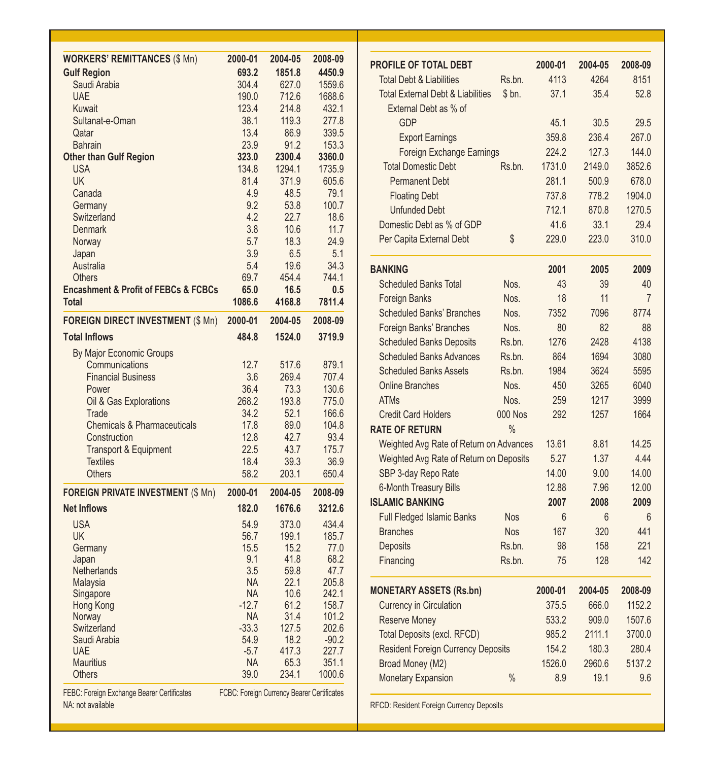| <b>WORKERS' REMITTANCES (\$ Mn)</b>                 | 2000-01   | 2004-05 | 2008-09 |
|-----------------------------------------------------|-----------|---------|---------|
| <b>Gulf Region</b>                                  | 693.2     | 1851.8  | 4450.9  |
| Saudi Arabia                                        | 304.4     | 627.0   | 1559.6  |
| <b>UAE</b>                                          | 190.0     | 712.6   | 1688.6  |
| <b>Kuwait</b>                                       | 123.4     | 214.8   | 432.1   |
| Sultanat-e-Oman                                     | 38.1      | 119.3   | 277.8   |
| Qatar                                               | 13.4      | 86.9    | 339.5   |
| <b>Bahrain</b>                                      | 23.9      | 91.2    | 153.3   |
| <b>Other than Gulf Region</b>                       | 323.0     | 2300.4  | 3360.0  |
| <b>USA</b>                                          | 134.8     | 1294.1  | 1735.9  |
| <b>UK</b>                                           | 81.4      | 371.9   | 605.6   |
| Canada                                              | 4.9       | 48.5    | 79.1    |
| Germany                                             | 9.2       | 53.8    | 100.7   |
| Switzerland                                         | 4.2       | 22.7    | 18.6    |
| <b>Denmark</b>                                      | 3.8       | 10.6    | 11.7    |
|                                                     | 5.7       | 18.3    | 24.9    |
| Norway                                              |           |         |         |
| Japan                                               | 3.9       | 6.5     | 5.1     |
| <b>Australia</b>                                    | 5.4       | 19.6    | 34.3    |
| Others                                              | 69.7      | 454.4   | 744.1   |
| <b>Encashment &amp; Profit of FEBCs &amp; FCBCs</b> | 65.0      | 16.5    | 0.5     |
| <b>Total</b>                                        | 1086.6    | 4168.8  | 7811.4  |
| <b>FOREIGN DIRECT INVESTMENT (\$ Mn)</b>            | 2000-01   | 2004-05 | 2008-09 |
| <b>Total Inflows</b>                                | 484.8     | 1524.0  | 3719.9  |
| By Major Economic Groups                            |           |         |         |
| Communications                                      | 12.7      | 517.6   | 879.1   |
| <b>Financial Business</b>                           | 3.6       | 269.4   | 707.4   |
| Power                                               | 36.4      | 73.3    | 130.6   |
| Oil & Gas Explorations                              | 268.2     | 193.8   | 775.0   |
| Trade                                               | 34.2      | 52.1    | 166.6   |
| <b>Chemicals &amp; Pharmaceuticals</b>              | 17.8      | 89.0    | 104.8   |
| Construction                                        | 12.8      | 42.7    | 93.4    |
| <b>Transport &amp; Equipment</b>                    | 22.5      | 43.7    | 175.7   |
| <b>Textiles</b>                                     | 18.4      | 39.3    | 36.9    |
| <b>Others</b>                                       | 58.2      |         | 650.4   |
|                                                     |           | 203.1   |         |
| <b>FOREIGN PRIVATE INVESTMENT (\$ Mn)</b>           | 2000-01   | 2004-05 | 2008-09 |
| <b>Net Inflows</b>                                  | 182.0     | 1676.6  | 3212.6  |
| <b>USA</b>                                          | 54.9      | 373.0   | 434.4   |
| UK                                                  | 56.7      | 199.1   | 185.7   |
| Germany                                             | 15.5      | 15.2    | 77.0    |
| Japan                                               | 9.1       | 41.8    | 68.2    |
| <b>Netherlands</b>                                  | 3.5       | 59.8    | 47.7    |
| Malaysia                                            | <b>NA</b> | 22.1    | 205.8   |
| Singapore                                           | <b>NA</b> | 10.6    | 242.1   |
| Hong Kong                                           | $-12.7$   | 61.2    | 158.7   |
| Norway                                              | <b>NA</b> | 31.4    | 101.2   |
| Switzerland                                         | $-33.3$   | 127.5   | 202.6   |
| Saudi Arabia                                        | 54.9      | 18.2    | $-90.2$ |
| <b>UAE</b>                                          | $-5.7$    | 417.3   | 227.7   |
| <b>Mauritius</b>                                    |           |         |         |
|                                                     | <b>NA</b> | 65.3    | 351.1   |
| <b>Others</b>                                       | 39.0      | 234.1   | 1000.6  |

FEBC: Foreign Exchange Bearer Certificates FCBC: Foreign Currency Bearer Certificates NA: not available

| PROFILE OF TOTAL DEBT                                                |                | 2000-01 | 2004-05 | 2008-09        |
|----------------------------------------------------------------------|----------------|---------|---------|----------------|
| <b>Total Debt &amp; Liabilities</b>                                  | Rs.bn.         | 4113    | 4264    | 8151           |
| <b>Total External Debt &amp; Liabilities</b>                         | \$bn.          | 37.1    | 35.4    | 52.8           |
| External Debt as % of                                                |                |         |         |                |
| GDP                                                                  |                | 45.1    | 30.5    | 29.5           |
| <b>Export Earnings</b>                                               |                | 359.8   | 236.4   | 267.0          |
| Foreign Exchange Earnings                                            |                | 224.2   | 127.3   | 144.0          |
| <b>Total Domestic Debt</b>                                           | Rs.bn.         | 1731.0  | 2149.0  | 3852.6         |
| <b>Permanent Debt</b>                                                |                | 281.1   | 500.9   | 678.0          |
| <b>Floating Debt</b>                                                 |                | 737.8   | 778.2   | 1904.0         |
| <b>Unfunded Debt</b>                                                 |                | 712.1   | 870.8   | 1270.5         |
| Domestic Debt as % of GDP                                            |                | 41.6    | 33.1    | 29.4           |
| Per Capita External Debt                                             | \$             | 229.0   | 223.0   | 310.0          |
| <b>BANKING</b>                                                       |                | 2001    | 2005    | 2009           |
| <b>Scheduled Banks Total</b>                                         | Nos.           | 43      | 39      | 40             |
| <b>Foreign Banks</b>                                                 | Nos.           | 18      | 11      | $\overline{7}$ |
| <b>Scheduled Banks' Branches</b>                                     | Nos.           | 7352    | 7096    | 8774           |
| <b>Foreign Banks' Branches</b>                                       | Nos.           | 80      | 82      | 88             |
| <b>Scheduled Banks Deposits</b>                                      | Rs.bn.         | 1276    | 2428    | 4138           |
| <b>Scheduled Banks Advances</b>                                      | Rs.bn.         | 864     | 1694    | 3080           |
| <b>Scheduled Banks Assets</b>                                        | Rs.bn.         | 1984    | 3624    | 5595           |
| <b>Online Branches</b>                                               | Nos.           | 450     | 3265    | 6040           |
| <b>ATMs</b>                                                          | Nos.           | 259     | 1217    | 3999           |
| <b>Credit Card Holders</b>                                           | <b>000 Nos</b> | 292     | 1257    | 1664           |
| <b>RATE OF RETURN</b>                                                | $\frac{0}{0}$  |         |         |                |
| Weighted Avg Rate of Return on Advances                              |                | 13.61   | 8.81    | 14.25          |
| Weighted Avg Rate of Return on Deposits                              |                | 5.27    | 1.37    | 4.44           |
| SBP 3-day Repo Rate                                                  |                | 14.00   | 9.00    | 14.00          |
| <b>6-Month Treasury Bills</b>                                        |                | 12.88   | 7.96    | 12.00          |
| <b>ISLAMIC BANKING</b>                                               |                | 2007    | 2008    | 2009           |
| <b>Full Fledged Islamic Banks</b>                                    | <b>Nos</b>     | 6       | 6       | 6              |
| <b>Branches</b>                                                      | <b>Nos</b>     | 167     | 320     | 441            |
| <b>Deposits</b>                                                      | Rs.bn.         | 98      | 158     | 221            |
| Financing                                                            | Rs.bn.         | 75      | 128     | 142            |
| <b>MONETARY ASSETS (Rs.bn)</b>                                       |                | 2000-01 | 2004-05 | 2008-09        |
| <b>Currency in Circulation</b>                                       |                | 375.5   | 666.0   | 1152.2         |
| <b>Reserve Monev</b>                                                 |                | 533.2   | 909.0   | 1507.6         |
| Total Deposits (excl. RFCD)                                          |                | 985.2   | 2111.1  | 3700.0         |
|                                                                      |                | 154.2   | 180.3   | 280.4          |
|                                                                      |                |         |         |                |
| <b>Resident Foreign Currency Deposits</b><br><b>Broad Money (M2)</b> |                | 1526.0  | 2960.6  | 5137.2         |

RFCD: Resident Foreign Currency Deposits